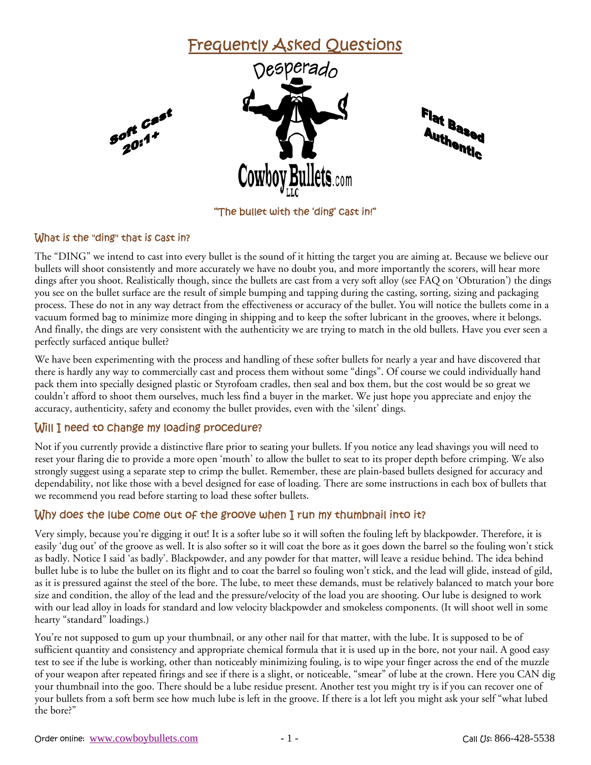

#### What is the "ding" that is cast in?

The "DING" we intend to cast into every bullet is the sound of it hitting the target you are aiming at. Because we believe our bullets will shoot consistently and more accurately we have no doubt you, and more importantly the scorers, will hear more dings after you shoot. Realistically though, since the bullets are cast from a very soft alloy (see FAQ on 'Obturation') the dings you see on the bullet surface are the result of simple bumping and tapping during the casting, sorting, sizing and packaging process. These do not in any way detract from the effectiveness or accuracy of the bullet. You will notice the bullets come in a vacuum formed bag to minimize more dinging in shipping and to keep the softer lubricant in the grooves, where it belongs. And finally, the dings are very consistent with the authenticity we are trying to match in the old bullets. Have you ever seen a perfectly surfaced antique bullet?

We have been experimenting with the process and handling of these softer bullets for nearly a year and have discovered that there is hardly any way to commercially cast and process them without some "dings‰. Of course we could individually hand pack them into specially designed plastic or Styrofoam cradles, then seal and box them, but the cost would be so great we couldn't afford to shoot them ourselves, much less find a buyer in the market. We just hope you appreciate and enjoy the accuracy, authenticity, safety and economy the bullet provides, even with the 'silent' dings.

### Will I need to change my loading procedure?

Not if you currently provide a distinctive flare prior to seating your bullets. If you notice any lead shavings you will need to reset your flaring die to provide a more open 'mouth' to allow the bullet to seat to its proper depth before crimping. We also strongly suggest using a separate step to crimp the bullet. Remember, these are plain-based bullets designed for accuracy and dependability, not like those with a bevel designed for ease of loading. There are some instructions in each box of bullets that we recommend you read before starting to load these softer bullets.

# Why does the lube come out of the groove when I run my thumbnail into it?

Very simply, because you're digging it out! It is a softer lube so it will soften the fouling left by blackpowder. Therefore, it is easily 'dug out' of the groove as well. It is also softer so it will coat the bore as it goes down the barrel so the fouling won't stick as badly. Notice I said 'as badly'. Blackpowder, and any powder for that matter, will leave a residue behind. The idea behind bullet lube is to lube the bullet on its flight and to coat the barrel so fouling won't stick, and the lead will glide, instead of gild, as it is pressured against the steel of the bore. The lube, to meet these demands, must be relatively balanced to match your bore size and condition, the alloy of the lead and the pressure/velocity of the load you are shooting. Our lube is designed to work with our lead alloy in loads for standard and low velocity blackpowder and smokeless components. (It will shoot well in some hearty "standard" loadings.)

You're not supposed to gum up your thumbnail, or any other nail for that matter, with the lube. It is supposed to be of sufficient quantity and consistency and appropriate chemical formula that it is used up in the bore, not your nail. A good easy test to see if the lube is working, other than noticeably minimizing fouling, is to wipe your finger across the end of the muzzle of your weapon after repeated firings and see if there is a slight, or noticeable, "smear" of lube at the crown. Here you CAN dig your thumbnail into the goo. There should be a lube residue present. Another test you might try is if you can recover one of your bullets from a soft berm see how much lube is left in the groove. If there is a lot left you might ask your self "what lubed the bore?"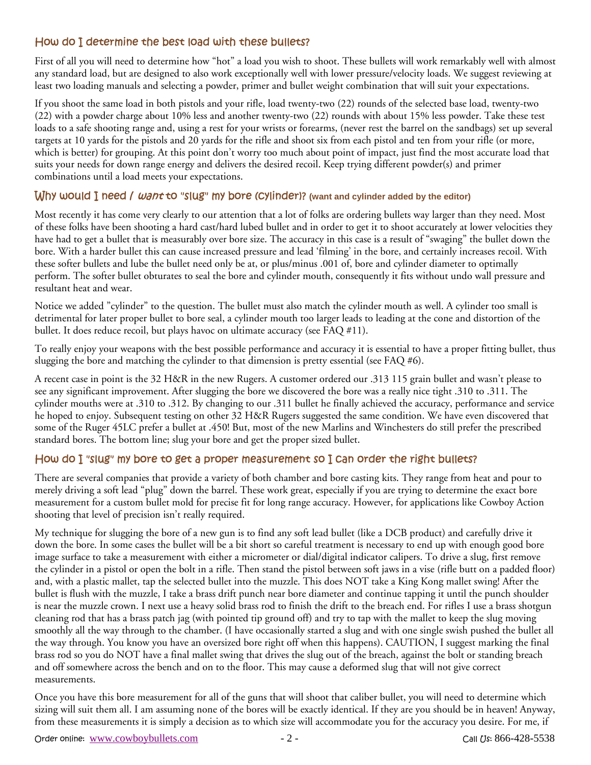# How do I determine the best load with these bullets?

First of all you will need to determine how "hot" a load you wish to shoot. These bullets will work remarkably well with almost any standard load, but are designed to also work exceptionally well with lower pressure/velocity loads. We suggest reviewing at least two loading manuals and selecting a powder, primer and bullet weight combination that will suit your expectations.

If you shoot the same load in both pistols and your rifle, load twenty-two (22) rounds of the selected base load, twenty-two (22) with a powder charge about 10% less and another twenty-two (22) rounds with about 15% less powder. Take these test loads to a safe shooting range and, using a rest for your wrists or forearms, (never rest the barrel on the sandbags) set up several targets at 10 yards for the pistols and 20 yards for the rifle and shoot six from each pistol and ten from your rifle (or more, which is better) for grouping. At this point don't worry too much about point of impact, just find the most accurate load that suits your needs for down range energy and delivers the desired recoil. Keep trying different powder(s) and primer combinations until a load meets your expectations.

### Why would I need / want to "slug" my bore (Cylinder)? (want and cylinder added by the editor)

Most recently it has come very clearly to our attention that a lot of folks are ordering bullets way larger than they need. Most of these folks have been shooting a hard cast/hard lubed bullet and in order to get it to shoot accurately at lower velocities they have had to get a bullet that is measurably over bore size. The accuracy in this case is a result of "swaging" the bullet down the bore. With a harder bullet this can cause increased pressure and lead 'filming' in the bore, and certainly increases recoil. With these softer bullets and lube the bullet need only be at, or plus/minus .001 of, bore and cylinder diameter to optimally perform. The softer bullet obturates to seal the bore and cylinder mouth, consequently it fits without undo wall pressure and resultant heat and wear.

Notice we added "cylinder" to the question. The bullet must also match the cylinder mouth as well. A cylinder too small is detrimental for later proper bullet to bore seal, a cylinder mouth too larger leads to leading at the cone and distortion of the bullet. It does reduce recoil, but plays havoc on ultimate accuracy (see FAQ #11).

To really enjoy your weapons with the best possible performance and accuracy it is essential to have a proper fitting bullet, thus slugging the bore and matching the cylinder to that dimension is pretty essential (see FAQ #6).

A recent case in point is the 32 H&R in the new Rugers. A customer ordered our .313 115 grain bullet and wasn't please to see any significant improvement. After slugging the bore we discovered the bore was a really nice tight .310 to .311. The cylinder mouths were at .310 to .312. By changing to our .311 bullet he finally achieved the accuracy, performance and service he hoped to enjoy. Subsequent testing on other 32 H&R Rugers suggested the same condition. We have even discovered that some of the Ruger 45LC prefer a bullet at .450! But, most of the new Marlins and Winchesters do still prefer the prescribed standard bores. The bottom line; slug your bore and get the proper sized bullet.

### How do I "slug" my bore to get a proper measurement so I can order the right bullets?

There are several companies that provide a variety of both chamber and bore casting kits. They range from heat and pour to merely driving a soft lead "plug" down the barrel. These work great, especially if you are trying to determine the exact bore measurement for a custom bullet mold for precise fit for long range accuracy. However, for applications like Cowboy Action shooting that level of precision isn't really required.

My technique for slugging the bore of a new gun is to find any soft lead bullet (like a DCB product) and carefully drive it down the bore. In some cases the bullet will be a bit short so careful treatment is necessary to end up with enough good bore image surface to take a measurement with either a micrometer or dial/digital indicator calipers. To drive a slug, first remove the cylinder in a pistol or open the bolt in a rifle. Then stand the pistol between soft jaws in a vise (rifle butt on a padded floor) and, with a plastic mallet, tap the selected bullet into the muzzle. This does NOT take a King Kong mallet swing! After the bullet is flush with the muzzle, I take a brass drift punch near bore diameter and continue tapping it until the punch shoulder is near the muzzle crown. I next use a heavy solid brass rod to finish the drift to the breach end. For rifles I use a brass shotgun cleaning rod that has a brass patch jag (with pointed tip ground off) and try to tap with the mallet to keep the slug moving smoothly all the way through to the chamber. (I have occasionally started a slug and with one single swish pushed the bullet all the way through. You know you have an oversized bore right off when this happens). CAUTION, I suggest marking the final brass rod so you do NOT have a final mallet swing that drives the slug out of the breach, against the bolt or standing breach and off somewhere across the bench and on to the floor. This may cause a deformed slug that will not give correct measurements.

Once you have this bore measurement for all of the guns that will shoot that caliber bullet, you will need to determine which sizing will suit them all. I am assuming none of the bores will be exactly identical. If they are you should be in heaven! Anyway, from these measurements it is simply a decision as to which size will accommodate you for the accuracy you desire. For me, if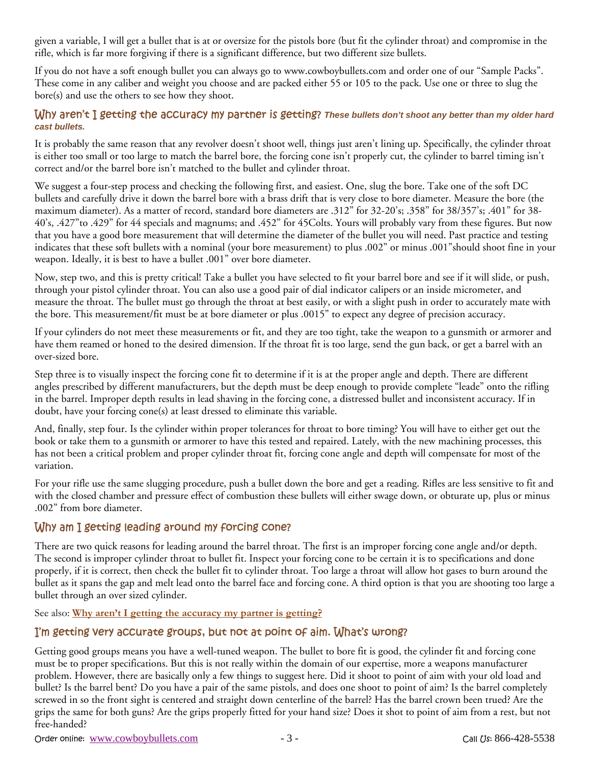given a variable, I will get a bullet that is at or oversize for the pistols bore (but fit the cylinder throat) and compromise in the rifle, which is far more forgiving if there is a significant difference, but two different size bullets.

If you do not have a soft enough bullet you can always go to www.cowboybullets.com and order one of our "Sample Packs". These come in any caliber and weight you choose and are packed either 55 or 105 to the pack. Use one or three to slug the bore(s) and use the others to see how they shoot.

#### Why aren't I getting the accuracy my partner is getting? *These bullets don't shoot any better than my older hard cast bullets.*

It is probably the same reason that any revolver doesn't shoot well, things just aren't lining up. Specifically, the cylinder throat is either too small or too large to match the barrel bore, the forcing cone isn't properly cut, the cylinder to barrel timing isn't correct and/or the barrel bore isn't matched to the bullet and cylinder throat.

We suggest a four-step process and checking the following first, and easiest. One, slug the bore. Take one of the soft DC bullets and carefully drive it down the barrel bore with a brass drift that is very close to bore diameter. Measure the bore (the maximum diameter). As a matter of record, standard bore diameters are .312" for 32-20's; .358" for 38/357's; .401" for 38-40's, .427" to .429" for 44 specials and magnums; and .452" for 45Colts. Yours will probably vary from these figures. But now that you have a good bore measurement that will determine the diameter of the bullet you will need. Past practice and testing indicates that these soft bullets with a nominal (your bore measurement) to plus .002‰ or minus .001‰should shoot fine in your weapon. Ideally, it is best to have a bullet .001" over bore diameter.

Now, step two, and this is pretty critical! Take a bullet you have selected to fit your barrel bore and see if it will slide, or push, through your pistol cylinder throat. You can also use a good pair of dial indicator calipers or an inside micrometer, and measure the throat. The bullet must go through the throat at best easily, or with a slight push in order to accurately mate with the bore. This measurement/fit must be at bore diameter or plus .0015‰ to expect any degree of precision accuracy.

If your cylinders do not meet these measurements or fit, and they are too tight, take the weapon to a gunsmith or armorer and have them reamed or honed to the desired dimension. If the throat fit is too large, send the gun back, or get a barrel with an over-sized bore.

Step three is to visually inspect the forcing cone fit to determine if it is at the proper angle and depth. There are different angles prescribed by different manufacturers, but the depth must be deep enough to provide complete "leade" onto the rifling in the barrel. Improper depth results in lead shaving in the forcing cone, a distressed bullet and inconsistent accuracy. If in doubt, have your forcing cone(s) at least dressed to eliminate this variable.

And, finally, step four. Is the cylinder within proper tolerances for throat to bore timing? You will have to either get out the book or take them to a gunsmith or armorer to have this tested and repaired. Lately, with the new machining processes, this has not been a critical problem and proper cylinder throat fit, forcing cone angle and depth will compensate for most of the variation.

For your rifle use the same slugging procedure, push a bullet down the bore and get a reading. Rifles are less sensitive to fit and with the closed chamber and pressure effect of combustion these bullets will either swage down, or obturate up, plus or minus .002‰ from bore diameter.

# Why am I getting leading around my forcing cone?

There are two quick reasons for leading around the barrel throat. The first is an improper forcing cone angle and/or depth. The second is improper cylinder throat to bullet fit. Inspect your forcing cone to be certain it is to specifications and done properly, if it is correct, then check the bullet fit to cylinder throat. Too large a throat will allow hot gases to burn around the bullet as it spans the gap and melt lead onto the barrel face and forcing cone. A third option is that you are shooting too large a bullet through an over sized cylinder.

See also: **Why aren't I getting the accuracy my partner is getting?**

### I'm getting very accurate groups, but not at point of aim. What's wrong?

Getting good groups means you have a well-tuned weapon. The bullet to bore fit is good, the cylinder fit and forcing cone must be to proper specifications. But this is not really within the domain of our expertise, more a weapons manufacturer problem. However, there are basically only a few things to suggest here. Did it shoot to point of aim with your old load and bullet? Is the barrel bent? Do you have a pair of the same pistols, and does one shoot to point of aim? Is the barrel completely screwed in so the front sight is centered and straight down centerline of the barrel? Has the barrel crown been trued? Are the grips the same for both guns? Are the grips properly fitted for your hand size? Does it shot to point of aim from a rest, but not free-handed?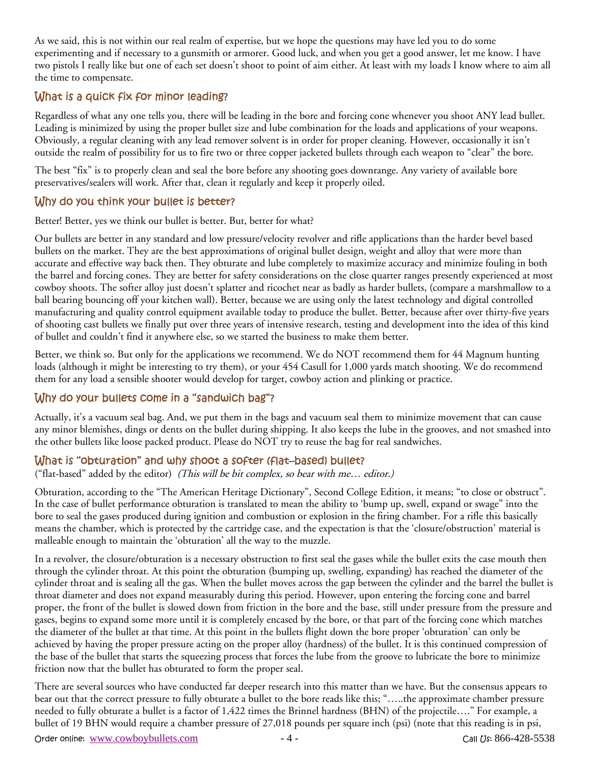As we said, this is not within our real realm of expertise, but we hope the questions may have led you to do some experimenting and if necessary to a gunsmith or armorer. Good luck, and when you get a good answer, let me know. I have two pistols I really like but one of each set doesn't shoot to point of aim either. At least with my loads I know where to aim all the time to compensate.

# What is a quick fix for minor leading?

Regardless of what any one tells you, there will be leading in the bore and forcing cone whenever you shoot ANY lead bullet. Leading is minimized by using the proper bullet size and lube combination for the loads and applications of your weapons. Obviously, a regular cleaning with any lead remover solvent is in order for proper cleaning. However, occasionally it isn't outside the realm of possibility for us to fire two or three copper jacketed bullets through each weapon to "clear‰ the bore.

The best "fix" is to properly clean and seal the bore before any shooting goes downrange. Any variety of available bore preservatives/sealers will work. After that, clean it regularly and keep it properly oiled.

### Why do you think your bullet is better?

Better! Better, yes we think our bullet is better. But, better for what?

Our bullets are better in any standard and low pressure/velocity revolver and rifle applications than the harder bevel based bullets on the market. They are the best approximations of original bullet design, weight and alloy that were more than accurate and effective way back then. They obturate and lube completely to maximize accuracy and minimize fouling in both the barrel and forcing cones. They are better for safety considerations on the close quarter ranges presently experienced at most cowboy shoots. The softer alloy just doesn't splatter and ricochet near as badly as harder bullets, (compare a marshmallow to a ball bearing bouncing off your kitchen wall). Better, because we are using only the latest technology and digital controlled manufacturing and quality control equipment available today to produce the bullet. Better, because after over thirty-five years of shooting cast bullets we finally put over three years of intensive research, testing and development into the idea of this kind of bullet and couldn't find it anywhere else, so we started the business to make them better.

Better, we think so. But only for the applications we recommend. We do NOT recommend them for 44 Magnum hunting loads (although it might be interesting to try them), or your 454 Casull for 1,000 yards match shooting. We do recommend them for any load a sensible shooter would develop for target, cowboy action and plinking or practice.

### Why do your bullets come in a "sandwich bag"?

Actually, it's a vacuum seal bag. And, we put them in the bags and vacuum seal them to minimize movement that can cause any minor blemishes, dings or dents on the bullet during shipping. It also keeps the lube in the grooves, and not smashed into the other bullets like loose packed product. Please do NOT try to reuse the bag for real sandwiches.

#### What is "obturation" and why shoot a softer (flat–based) bullet?

("flat-based" added by the editor) *(This will be bit complex, so bear with me... editor.)* 

Obturation, according to the "The American Heritage Dictionary", Second College Edition, it means; "to close or obstruct". In the case of bullet performance obturation is translated to mean the ability to 'bump up, swell, expand or swage" into the bore to seal the gases produced during ignition and combustion or explosion in the firing chamber. For a rifle this basically means the chamber, which is protected by the cartridge case, and the expectation is that the 'closure/obstruction' material is malleable enough to maintain the 'obturation' all the way to the muzzle.

In a revolver, the closure/obturation is a necessary obstruction to first seal the gases while the bullet exits the case mouth then through the cylinder throat. At this point the obturation (bumping up, swelling, expanding) has reached the diameter of the cylinder throat and is sealing all the gas. When the bullet moves across the gap between the cylinder and the barrel the bullet is throat diameter and does not expand measurably during this period. However, upon entering the forcing cone and barrel proper, the front of the bullet is slowed down from friction in the bore and the base, still under pressure from the pressure and gases, begins to expand some more until it is completely encased by the bore, or that part of the forcing cone which matches the diameter of the bullet at that time. At this point in the bullets flight down the bore proper 'obturation' can only be achieved by having the proper pressure acting on the proper alloy (hardness) of the bullet. It is this continued compression of the base of the bullet that starts the squeezing process that forces the lube from the groove to lubricate the bore to minimize friction now that the bullet has obturated to form the proper seal.

There are several sources who have conducted far deeper research into this matter than we have. But the consensus appears to bear out that the correct pressure to fully obturate a bullet to the bore reads like this; ".....the approximate chamber pressure needed to fully obturate a bullet is a factor of 1,422 times the Brinnel hardness (BHN) of the projectile...." For example, a bullet of 19 BHN would require a chamber pressure of 27,018 pounds per square inch (psi) (note that this reading is in psi,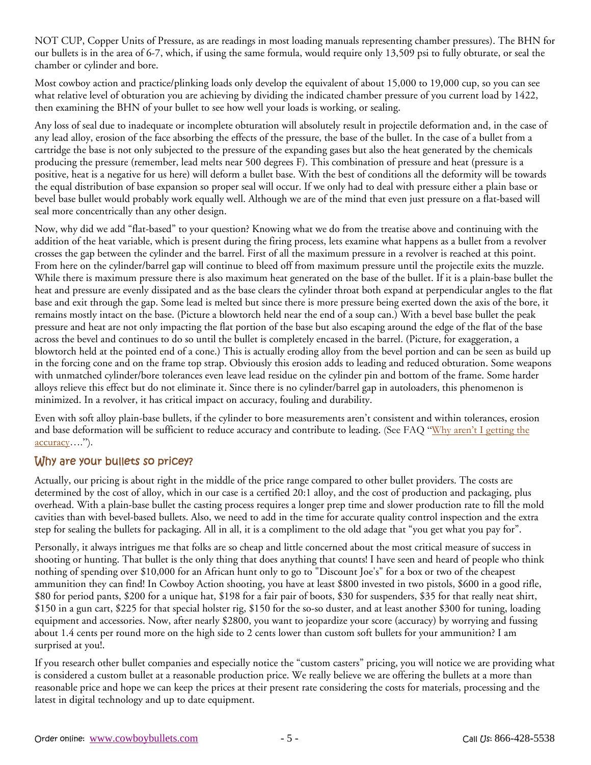NOT CUP, Copper Units of Pressure, as are readings in most loading manuals representing chamber pressures). The BHN for our bullets is in the area of 6-7, which, if using the same formula, would require only 13,509 psi to fully obturate, or seal the chamber or cylinder and bore.

Most cowboy action and practice/plinking loads only develop the equivalent of about 15,000 to 19,000 cup, so you can see what relative level of obturation you are achieving by dividing the indicated chamber pressure of you current load by 1422, then examining the BHN of your bullet to see how well your loads is working, or sealing.

Any loss of seal due to inadequate or incomplete obturation will absolutely result in projectile deformation and, in the case of any lead alloy, erosion of the face absorbing the effects of the pressure, the base of the bullet. In the case of a bullet from a cartridge the base is not only subjected to the pressure of the expanding gases but also the heat generated by the chemicals producing the pressure (remember, lead melts near 500 degrees F). This combination of pressure and heat (pressure is a positive, heat is a negative for us here) will deform a bullet base. With the best of conditions all the deformity will be towards the equal distribution of base expansion so proper seal will occur. If we only had to deal with pressure either a plain base or bevel base bullet would probably work equally well. Although we are of the mind that even just pressure on a flat-based will seal more concentrically than any other design.

Now, why did we add "flat-based" to your question? Knowing what we do from the treatise above and continuing with the addition of the heat variable, which is present during the firing process, lets examine what happens as a bullet from a revolver crosses the gap between the cylinder and the barrel. First of all the maximum pressure in a revolver is reached at this point. From here on the cylinder/barrel gap will continue to bleed off from maximum pressure until the projectile exits the muzzle. While there is maximum pressure there is also maximum heat generated on the base of the bullet. If it is a plain-base bullet the heat and pressure are evenly dissipated and as the base clears the cylinder throat both expand at perpendicular angles to the flat base and exit through the gap. Some lead is melted but since there is more pressure being exerted down the axis of the bore, it remains mostly intact on the base. (Picture a blowtorch held near the end of a soup can.) With a bevel base bullet the peak pressure and heat are not only impacting the flat portion of the base but also escaping around the edge of the flat of the base across the bevel and continues to do so until the bullet is completely encased in the barrel. (Picture, for exaggeration, a blowtorch held at the pointed end of a cone.) This is actually eroding alloy from the bevel portion and can be seen as build up in the forcing cone and on the frame top strap. Obviously this erosion adds to leading and reduced obturation. Some weapons with unmatched cylinder/bore tolerances even leave lead residue on the cylinder pin and bottom of the frame. Some harder alloys relieve this effect but do not eliminate it. Since there is no cylinder/barrel gap in autoloaders, this phenomenon is minimized. In a revolver, it has critical impact on accuracy, fouling and durability.

Even with soft alloy plain-base bullets, if the cylinder to bore measurements aren't consistent and within tolerances, erosion and base deformation will be sufficient to reduce accuracy and contribute to leading. (See FAQ "Why aren't I getting the  $\alpha$ ccuracy....").

### Why are your bullets so pricey?

Actually, our pricing is about right in the middle of the price range compared to other bullet providers. The costs are determined by the cost of alloy, which in our case is a certified 20:1 alloy, and the cost of production and packaging, plus overhead. With a plain-base bullet the casting process requires a longer prep time and slower production rate to fill the mold cavities than with bevel-based bullets. Also, we need to add in the time for accurate quality control inspection and the extra step for sealing the bullets for packaging. All in all, it is a compliment to the old adage that "you get what you pay for".

Personally, it always intrigues me that folks are so cheap and little concerned about the most critical measure of success in shooting or hunting. That bullet is the only thing that does anything that counts! I have seen and heard of people who think nothing of spending over \$10,000 for an African hunt only to go to "Discount Joe's" for a box or two of the cheapest ammunition they can find! In Cowboy Action shooting, you have at least \$800 invested in two pistols, \$600 in a good rifle, \$80 for period pants, \$200 for a unique hat, \$198 for a fair pair of boots, \$30 for suspenders, \$35 for that really neat shirt, \$150 in a gun cart, \$225 for that special holster rig, \$150 for the so-so duster, and at least another \$300 for tuning, loading equipment and accessories. Now, after nearly \$2800, you want to jeopardize your score (accuracy) by worrying and fussing about 1.4 cents per round more on the high side to 2 cents lower than custom soft bullets for your ammunition? I am surprised at you!.

If you research other bullet companies and especially notice the "custom casters" pricing, you will notice we are providing what is considered a custom bullet at a reasonable production price. We really believe we are offering the bullets at a more than reasonable price and hope we can keep the prices at their present rate considering the costs for materials, processing and the latest in digital technology and up to date equipment.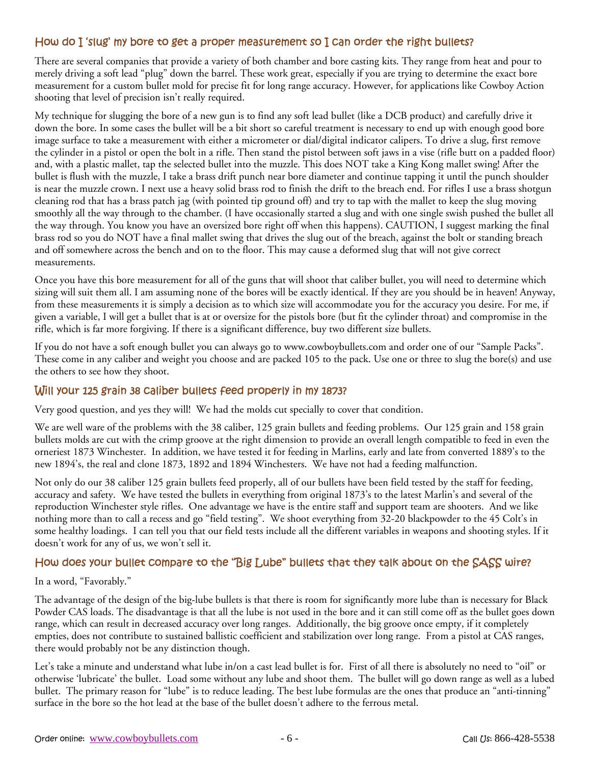### How do I 'slug' my bore to get a proper measurement so I can order the right bullets?

There are several companies that provide a variety of both chamber and bore casting kits. They range from heat and pour to merely driving a soft lead "plug" down the barrel. These work great, especially if you are trying to determine the exact bore measurement for a custom bullet mold for precise fit for long range accuracy. However, for applications like Cowboy Action shooting that level of precision isn't really required.

My technique for slugging the bore of a new gun is to find any soft lead bullet (like a DCB product) and carefully drive it down the bore. In some cases the bullet will be a bit short so careful treatment is necessary to end up with enough good bore image surface to take a measurement with either a micrometer or dial/digital indicator calipers. To drive a slug, first remove the cylinder in a pistol or open the bolt in a rifle. Then stand the pistol between soft jaws in a vise (rifle butt on a padded floor) and, with a plastic mallet, tap the selected bullet into the muzzle. This does NOT take a King Kong mallet swing! After the bullet is flush with the muzzle, I take a brass drift punch near bore diameter and continue tapping it until the punch shoulder is near the muzzle crown. I next use a heavy solid brass rod to finish the drift to the breach end. For rifles I use a brass shotgun cleaning rod that has a brass patch jag (with pointed tip ground off) and try to tap with the mallet to keep the slug moving smoothly all the way through to the chamber. (I have occasionally started a slug and with one single swish pushed the bullet all the way through. You know you have an oversized bore right off when this happens). CAUTION, I suggest marking the final brass rod so you do NOT have a final mallet swing that drives the slug out of the breach, against the bolt or standing breach and off somewhere across the bench and on to the floor. This may cause a deformed slug that will not give correct measurements.

Once you have this bore measurement for all of the guns that will shoot that caliber bullet, you will need to determine which sizing will suit them all. I am assuming none of the bores will be exactly identical. If they are you should be in heaven! Anyway, from these measurements it is simply a decision as to which size will accommodate you for the accuracy you desire. For me, if given a variable, I will get a bullet that is at or oversize for the pistols bore (but fit the cylinder throat) and compromise in the rifle, which is far more forgiving. If there is a significant difference, buy two different size bullets.

If you do not have a soft enough bullet you can always go to www.cowboybullets.com and order one of our "Sample Packs". These come in any caliber and weight you choose and are packed 105 to the pack. Use one or three to slug the bore(s) and use the others to see how they shoot.

### Will your 125 grain 38 caliber bullets feed properly in my 1873?

Very good question, and yes they will! We had the molds cut specially to cover that condition.

We are well ware of the problems with the 38 caliber, 125 grain bullets and feeding problems. Our 125 grain and 158 grain bullets molds are cut with the crimp groove at the right dimension to provide an overall length compatible to feed in even the orneriest 1873 Winchester. In addition, we have tested it for feeding in Marlins, early and late from converted 1889's to the new 1894's, the real and clone 1873, 1892 and 1894 Winchesters. We have not had a feeding malfunction.

Not only do our 38 caliber 125 grain bullets feed properly, all of our bullets have been field tested by the staff for feeding, accuracy and safety. We have tested the bullets in everything from original 1873's to the latest Marlin's and several of the reproduction Winchester style rifles. One advantage we have is the entire staff and support team are shooters. And we like nothing more than to call a recess and go "field testing". We shoot everything from 32-20 blackpowder to the 45 Colt's in some healthy loadings. I can tell you that our field tests include all the different variables in weapons and shooting styles. If it doesn't work for any of us, we won't sell it.

### How does your bullet compare to the "Big Lube" bullets that they talk about on the SASS wire?

#### In a word, "Favorably."

The advantage of the design of the big-lube bullets is that there is room for significantly more lube than is necessary for Black Powder CAS loads. The disadvantage is that all the lube is not used in the bore and it can still come off as the bullet goes down range, which can result in decreased accuracy over long ranges. Additionally, the big groove once empty, if it completely empties, does not contribute to sustained ballistic coefficient and stabilization over long range. From a pistol at CAS ranges, there would probably not be any distinction though.

Let's take a minute and understand what lube in/on a cast lead bullet is for. First of all there is absolutely no need to "oil" or otherwise 'lubricate' the bullet. Load some without any lube and shoot them. The bullet will go down range as well as a lubed bullet. The primary reason for "lube" is to reduce leading. The best lube formulas are the ones that produce an "anti-tinning" surface in the bore so the hot lead at the base of the bullet doesn't adhere to the ferrous metal.